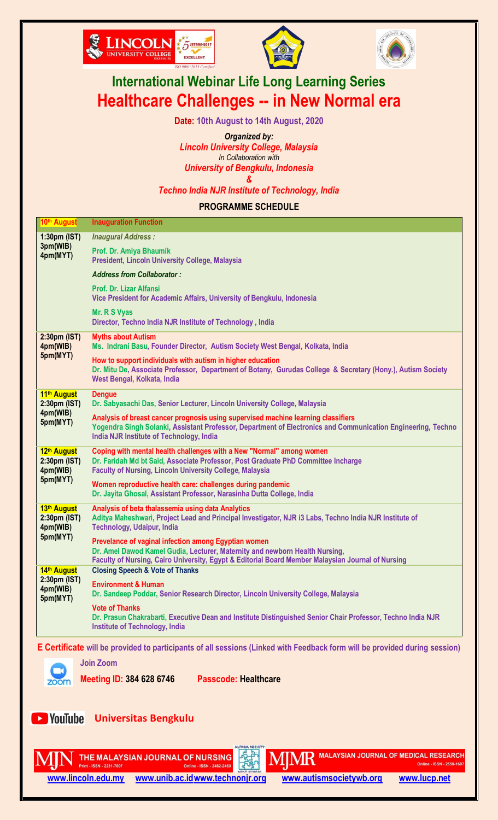





# **International Webinar Life Long Learning Series Healthcare Challenges -- in New Normal era**

**Date: 10th August to 14th August, 2020**

*Organized by: Lincoln University College, Malaysia In Collaboration with* 

*University of Bengkulu, Indonesia &*

*Techno lndia NJR Institute of Technology, India*

**PROGRAMME SCHEDULE**

| 10th August                                                                                                                       | <b>Inauguration Function</b>                                                                                                                                                                                                                  |  |
|-----------------------------------------------------------------------------------------------------------------------------------|-----------------------------------------------------------------------------------------------------------------------------------------------------------------------------------------------------------------------------------------------|--|
| 1:30pm (IST)<br>3pm(WIB)<br>4pm(MYT)                                                                                              | <b>Inaugural Address:</b>                                                                                                                                                                                                                     |  |
|                                                                                                                                   | Prof. Dr. Amiya Bhaumik<br>President, Lincoln University College, Malaysia                                                                                                                                                                    |  |
|                                                                                                                                   | <b>Address from Collaborator:</b>                                                                                                                                                                                                             |  |
|                                                                                                                                   | Prof. Dr. Lizar Alfansi<br>Vice President for Academic Affairs, University of Bengkulu, Indonesia                                                                                                                                             |  |
|                                                                                                                                   | Mr. R S Vyas<br>Director, Techno India NJR Institute of Technology, India                                                                                                                                                                     |  |
| 2:30pm (IST)<br>4pm(WIB)<br>5pm(MYT)                                                                                              | <b>Myths about Autism</b><br>Ms. Indrani Basu, Founder Director, Autism Society West Bengal, Kolkata, India                                                                                                                                   |  |
|                                                                                                                                   | How to support individuals with autism in higher education<br>Dr. Mitu De, Associate Professor, Department of Botany, Gurudas College & Secretary (Hony.), Autism Society<br>West Bengal, Kolkata, India                                      |  |
| 11th August<br>2:30pm (IST)                                                                                                       | <b>Denque</b><br>Dr. Sabyasachi Das, Senior Lecturer, Lincoln University College, Malaysia                                                                                                                                                    |  |
| 4pm(WIB)<br>5pm(MYT)                                                                                                              | Analysis of breast cancer prognosis using supervised machine learning classifiers<br>Yogendra Singh Solanki, Assistant Professor, Department of Electronics and Communication Engineering, Techno<br>India NJR Institute of Technology, India |  |
| 12th August<br>2:30pm (IST)<br>4pm(WIB)                                                                                           | Coping with mental health challenges with a New "Normal" among women<br>Dr. Faridah Md bt Said, Associate Professor, Post Graduate PhD Committee Incharge<br><b>Faculty of Nursing, Lincoln University College, Malaysia</b>                  |  |
| 5pm(MYT)                                                                                                                          | Women reproductive health care: challenges during pandemic<br>Dr. Jayita Ghosal, Assistant Professor, Narasinha Dutta College, India                                                                                                          |  |
| 13th August<br>2:30pm (IST)<br>4pm(WIB)                                                                                           | Analysis of beta thalassemia using data Analytics<br>Aditya Maheshwari, Project Lead and Principal Investigator, NJR i3 Labs, Techno India NJR Institute of<br>Technology, Udaipur, India                                                     |  |
| 5pm(MYT)                                                                                                                          | Prevelance of vaginal infection among Egyptian women<br>Dr. Amel Dawod Kamel Gudia, Lecturer, Maternity and newborn Health Nursing,<br>Faculty of Nursing, Cairo University, Egypt & Editorial Board Member Malaysian Journal of Nursing      |  |
| 14th August<br>2:30pm (IST)                                                                                                       | <b>Closing Speech &amp; Vote of Thanks</b>                                                                                                                                                                                                    |  |
| 4pm(WIB)<br>5pm(MYT)                                                                                                              | <b>Environment &amp; Human</b><br>Dr. Sandeep Poddar, Senior Research Director, Lincoln University College, Malaysia                                                                                                                          |  |
|                                                                                                                                   | <b>Vote of Thanks</b><br>Dr. Prasun Chakrabarti, Executive Dean and Institute Distinguished Senior Chair Professor, Techno India NJR<br><b>Institute of Technology, India</b>                                                                 |  |
| <b>E Certificate</b> will be provided to participants of all sessions (Linked with Feedback form will be provided during session) |                                                                                                                                                                                                                                               |  |
|                                                                                                                                   | <b>Join Zoom</b>                                                                                                                                                                                                                              |  |
| zoom                                                                                                                              | <b>Passcode: Healthcare</b><br><b>Meeting ID: 384 628 6746</b>                                                                                                                                                                                |  |
|                                                                                                                                   |                                                                                                                                                                                                                                               |  |
| <b>E</b> YouTube                                                                                                                  | <b>Universitas Bengkulu</b>                                                                                                                                                                                                                   |  |

THE MALAYSIAN JOURNAL OF NURSING Online - ISSN - 2462-246X



 $\mathbf{M}$ M $\mathbf{R}$  malaysian journal of medical research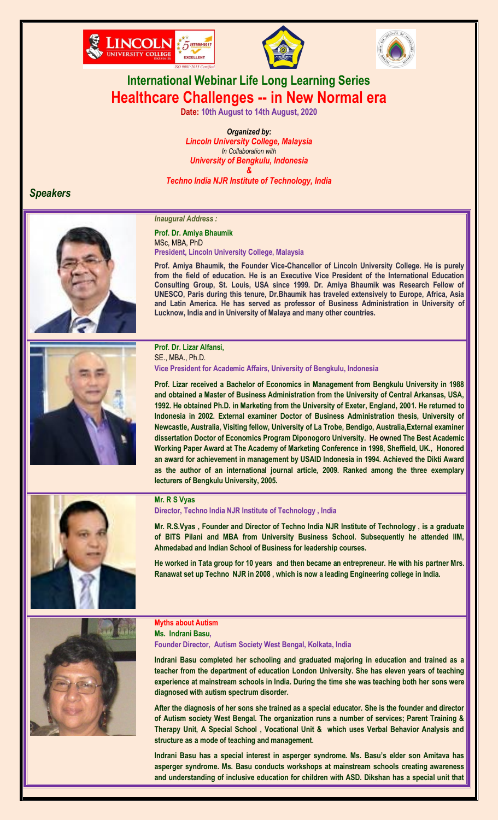





## **International Webinar Life Long Learning Series Healthcare Challenges -- in New Normal era**

**Date: 10th August to 14th August, 2020**

*Organized by: Lincoln University College, Malaysia In Collaboration with University of Bengkulu, Indonesia & Techno lndia NJR Institute of Technology, India*

## *Speakers*





## **Prof. Dr. Amiya Bhaumik** MSc, MBA, PhD **President, Lincoln University College, Malaysia**

**Prof. Amiya Bhaumik, the Founder Vice-Chancellor of Lincoln University College. He is purely from the field of education. He is an Executive Vice President of the International Education Consulting Group, St. Louis, USA since 1999. Dr. Amiya Bhaumik was Research Fellow of UNESCO, Paris during this tenure, Dr.Bhaumik has traveled extensively to Europe, Africa, Asia and Latin America. He has served as professor of Business Administration in University of Lucknow, India and in University of Malaya and many other countries.**



## **Prof. Dr. Lizar Alfansi,**  SE., MBA., Ph.D.

**Vice President for Academic Affairs, University of Bengkulu, Indonesia**

**Prof. Lizar received a Bachelor of Economics in Management from Bengkulu University in 1988 and obtained a Master of Business Administration from the University of Central Arkansas, USA, 1992. He obtained Ph.D. in Marketing from the University of Exeter, England, 2001. He returned to Indonesia in 2002. External examiner Doctor of Business Administration thesis, University of Newcastle, Australia, Visiting fellow, University of La Trobe, Bendigo, Australia,External examiner dissertation Doctor of Economics Program Diponogoro University. He owned The Best Academic Working Paper Award at The Academy of Marketing Conference in 1998, Sheffield, UK., Honored an award for achievement in management by USAID Indonesia in 1994. Achieved the Dikti Award as the author of an international journal article, 2009. Ranked among the three exemplary lecturers of Bengkulu University, 2005.**



#### **Mr. R S Vyas**

**Director, Techno lndia NJR Institute of Technology , India**

**Mr. R.S.Vyas , Founder and Director of Techno India NJR Institute of Technology , is a graduate of BITS Pilani and MBA from University Business School. Subsequently he attended IIM, Ahmedabad and Indian School of Business for leadership courses.**

**He worked in Tata group for 10 years and then became an entrepreneur. He with his partner Mrs. Ranawat set up Techno NJR in 2008 , which is now a leading Engineering college in India.**



#### **Myths about Autism Ms. Indrani Basu,**

**Founder Director, Autism Society West Bengal, Kolkata, India**

**Indrani Basu completed her schooling and graduated majoring in education and trained as a teacher from the department of education London University. She has eleven years of teaching experience at mainstream schools in India. During the time she was teaching both her sons were diagnosed with autism spectrum disorder.** 

**After the diagnosis of her sons she trained as a special educator. She is the founder and director of Autism society West Bengal. The organization runs a number of services; Parent Training & Therapy Unit, A Special School , Vocational Unit & which uses Verbal Behavior Analysis and structure as a mode of teaching and management.** 

**Indrani Basu has a special interest in asperger syndrome. Ms. Basu"s elder son Amitava has asperger syndrome. Ms. Basu conducts workshops at mainstream schools creating awareness and understanding of inclusive education for children with ASD. Dikshan has a special unit that**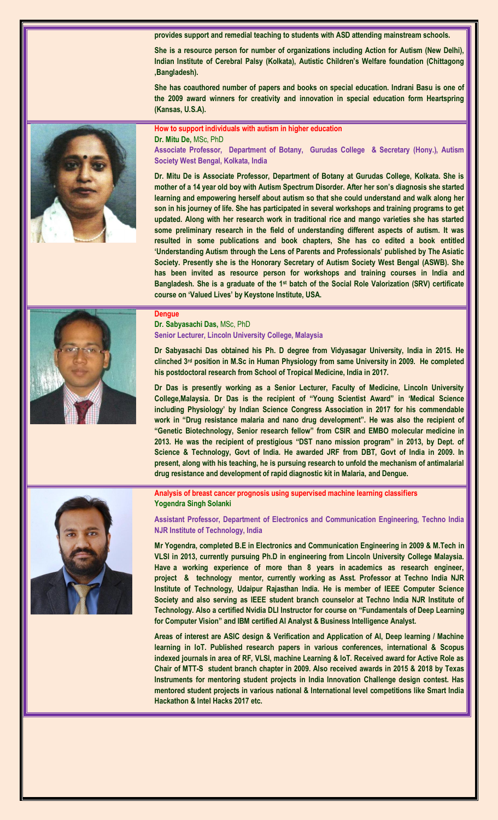**provides support and remedial teaching to students with ASD attending mainstream schools.**

**She is a resource person for number of organizations including Action for Autism (New Delhi), Indian Institute of Cerebral Palsy (Kolkata), Autistic Children"s Welfare foundation (Chittagong ,Bangladesh).** 

**She has coauthored number of papers and books on special education. Indrani Basu is one of the 2009 award winners for creativity and innovation in special education form Heartspring (Kansas, U.S.A).**

**How to support individuals with autism in higher education Dr. Mitu De,** MSc, PhD

**Associate Professor, Department of Botany, Gurudas College & Secretary (Hony.), Autism Society West Bengal, Kolkata, India**

**Dr. Mitu De is Associate Professor, Department of Botany at Gurudas College, Kolkata. She is mother of a 14 year old boy with Autism Spectrum Disorder. After her son"s diagnosis she started learning and empowering herself about autism so that she could understand and walk along her son in his journey of life. She has participated in several workshops and training programs to get updated. Along with her research work in traditional rice and mango varieties she has started some preliminary research in the field of understanding different aspects of autism. It was resulted in some publications and book chapters, She has co edited a book entitled "Understanding Autism through the Lens of Parents and Professionals" published by The Asiatic Society. Presently she is the Honorary Secretary of Autism Society West Bengal (ASWB). She has been invited as resource person for workshops and training courses in India and Bangladesh. She is a graduate of the 1st batch of the Social Role Valorization (SRV) certificate course on "Valued Lives" by Keystone Institute, USA.** 



#### **Dengue Dr. Sabyasachi Das,** MSc, PhD **Senior Lecturer, Lincoln University College, Malaysia**

**Dr Sabyasachi Das obtained his Ph. D degree from Vidyasagar University, India in 2015. He clinched 3rd position in M.Sc in Human Physiology from same University in 2009. He completed his postdoctoral research from School of Tropical Medicine, India in 2017.** 

**Dr Das is presently working as a Senior Lecturer, Faculty of Medicine, Lincoln University College,Malaysia. Dr Das is the recipient of "Young Scientist Award" in "Medical Science including Physiology" by Indian Science Congress Association in 2017 for his commendable work in "Drug resistance malaria and nano drug development". He was also the recipient of "Genetic Biotechnology, Senior research fellow" from CSIR and EMBO molecular medicine in 2013. He was the recipient of prestigious "DST nano mission program" in 2013, by Dept. of Science & Technology, Govt of India. He awarded JRF from DBT, Govt of India in 2009. In present, along with his teaching, he is pursuing research to unfold the mechanism of antimalarial drug resistance and development of rapid diagnostic kit in Malaria, and Dengue.**

**Analysis of breast cancer prognosis using supervised machine learning classifiers Yogendra Singh Solanki**

**Assistant Professor, Department of Electronics and Communication Engineering, Techno lndia NJR Institute of Technology, India**

**Mr Yogendra, completed B.E in Electronics and Communication Engineering in 2009 & M.Tech in VLSI in 2013, currently pursuing Ph.D in engineering from Lincoln University College Malaysia. Have a working experience of more than 8 years in academics as research engineer, project & technology mentor, currently working as Asst. Professor at Techno India NJR Institute of Technology, Udaipur Rajasthan India. He is member of IEEE Computer Science Society and also serving as IEEE student branch counselor at Techno India NJR Institute of Technology. Also a certified Nvidia DLI Instructor for course on "Fundamentals of Deep Learning for Computer Vision" and IBM certified AI Analyst & Business Intelligence Analyst.**

**Areas of interest are ASIC design & Verification and Application of AI, Deep learning / Machine learning in IoT. Published research papers in various conferences, international & Scopus indexed journals in area of RF, VLSI, machine Learning & IoT. Received award for Active Role as Chair of MTT-S student branch chapter in 2009. Also received awards in 2015 & 2018 by Texas Instruments for mentoring student projects in India Innovation Challenge design contest. Has mentored student projects in various national & International level competitions like Smart India Hackathon & Intel Hacks 2017 etc.**

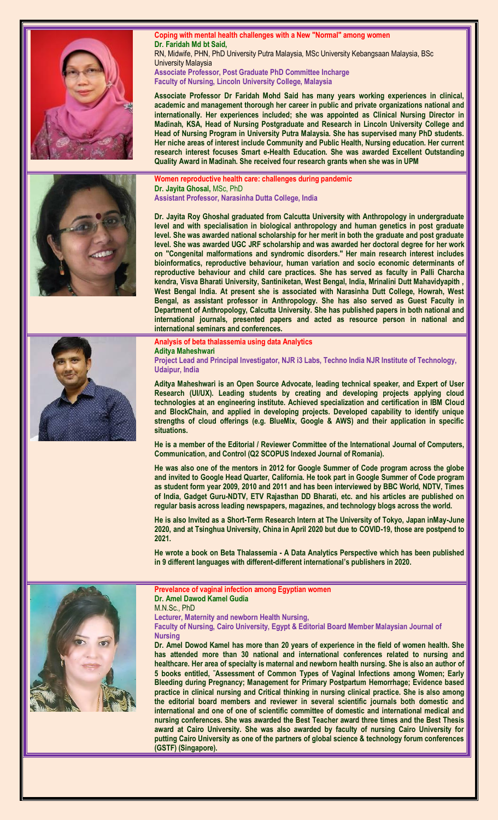







**Coping with mental health challenges with a New "Normal" among women Dr. Faridah Md bt Said,**  RN, Midwife, PHN, PhD University Putra Malaysia, MSc University Kebangsaan Malaysia, BSc University Malaysia **Associate Professor, Post Graduate PhD Committee Incharge Faculty of Nursing, Lincoln University College, Malaysia**

**Associate Professor Dr Faridah Mohd Said has many years working experiences in clinical, academic and management thorough her career in public and private organizations national and internationally. Her experiences included; she was appointed as Clinical Nursing Director in Madinah, KSA, Head of Nursing Postgraduate and Research in Lincoln University College and Head of Nursing Program in University Putra Malaysia. She has supervised many PhD students. Her niche areas of interest include Community and Public Health, Nursing education. Her current research interest focuses Smart e-Health Education. She was awarded Excellent Outstanding Quality Award in Madinah. She received four research grants when she was in UPM**

**Women reproductive health care: challenges during pandemic Dr. Jayita Ghosal,** MSc, PhD **Assistant Professor, Narasinha Dutta College, India**

**Dr. Jayita Roy Ghoshal graduated from Calcutta University with Anthropology in undergraduate level and with specialisation in biological anthropology and human genetics in post graduate level. She was awarded national scholarship for her merit in both the graduate and post graduate level. She was awarded UGC JRF scholarship and was awarded her doctoral degree for her work on "Congenital malformations and syndromic disorders." Her main research interest includes bioinformatics, reproductive behaviour, human variation and socio economic determinants of reproductive behaviour and child care practices. She has served as faculty in Palli Charcha kendra, Visva Bharati University, Santiniketan, West Bengal, India, Mrinalini Dutt Mahavidyapith , West Bengal India. At present she is associated with Narasinha Dutt College, Howrah, West Bengal, as assistant professor in Anthropology. She has also served as Guest Faculty in Department of Anthropology, Calcutta University. She has published papers in both national and international journals, presented papers and acted as resource person in national and international seminars and conferences.**

#### **Analysis of beta thalassemia using data Analytics Aditya Maheshwari**

**Project Lead and Principal Investigator, NJR i3 Labs, Techno lndia NJR Institute of Technology, Udaipur, India**

**Aditya Maheshwari is an Open Source Advocate, leading technical speaker, and Expert of User Research (UI/UX). Leading students by creating and developing projects applying cloud technologies at an engineering institute. Achieved specialization and certification in IBM Cloud and BlockChain, and applied in developing projects. Developed capability to identify unique strengths of cloud offerings (e.g. BlueMix, Google & AWS) and their application in specific situations.**

**He is a member of the Editorial / Reviewer Committee of the International Journal of Computers, Communication, and Control (Q2 SCOPUS Indexed Journal of Romania).**

**He was also one of the mentors in 2012 for Google Summer of Code program across the globe and invited to Google Head Quarter, California. He took part in Google Summer of Code program as student form year 2009, 2010 and 2011 and has been interviewed by BBC World, NDTV, Times of India, Gadget Guru-NDTV, ETV Rajasthan DD Bharati, etc. and his articles are published on regular basis across leading newspapers, magazines, and technology blogs across the world.**

**He is also Invited as a Short-Term Research Intern at The University of Tokyo, Japan inMay-June 2020, and at Tsinghua University, China in April 2020 but due to COVID-19, those are postpend to 2021.**

**He wrote a book on Beta Thalassemia - A Data Analytics Perspective which has been published in 9 different languages with different-different international"s publishers in 2020.**



**Prevelance of vaginal infection among Egyptian women Dr. Amel Dawod Kamel Gudia** M.N.Sc., PhD

**Lecturer, Maternity and newborn Health Nursing,**

**Faculty of Nursing, Cairo University, Egypt & Editorial Board Member Malaysian Journal of Nursing**

**Dr. Amel Dowod Kamel has more than 20 years of experience in the field of women health. She has attended more than 30 national and international conferences related to nursing and healthcare. Her area of specialty is maternal and newborn health nursing. She is also an author of 5 books entitled, ˜Assessment of Common Types of Vaginal Infections among Women; Early Bleeding during Pregnancy; Management for Primary Postpartum Hemorrhage; Evidence based practice in clinical nursing and Critical thinking in nursing clinical practice. She is also among the editorial board members and reviewer in several scientific journals both domestic and international and one of one of scientific committee of domestic and international medical and nursing conferences. She was awarded the Best Teacher award three times and the Best Thesis award at Cairo University. She was also awarded by faculty of nursing Cairo University for putting Cairo University as one of the partners of global science & technology forum conferences (GSTF) (Singapore).**